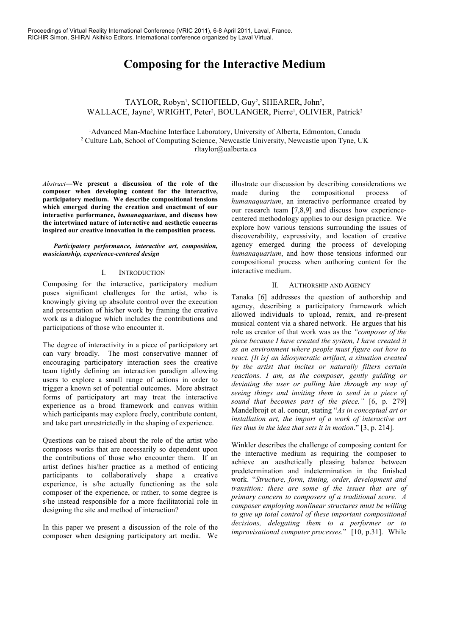# **Composing for the Interactive Medium**

## TAYLOR, Robyn<sup>1</sup>, SCHOFIELD, Guy<sup>2</sup>, SHEARER, John<sup>2</sup>, WALLACE, Jayne<sup>2</sup>, WRIGHT, Peter<sup>2</sup>, BOULANGER, Pierre<sup>1</sup>, OLIVIER, Patrick<sup>2</sup>

1 Advanced Man-Machine Interface Laboratory, University of Alberta, Edmonton, Canada <sup>2</sup> Culture Lab, School of Computing Science, Newcastle University, Newcastle upon Tyne, UK rltaylor@ualberta.ca

*Abstract***—We present a discussion of the role of the composer when developing content for the interactive, participatory medium. We describe compositional tensions which emerged during the creation and enactment of our interactive performance,** *humanaquarium***, and discuss how the intertwined nature of interactive and aesthetic concerns inspired our creative innovation in the composition process.**

*Participatory performance, interactive art, composition, musicianship, experience-centered design*

#### I. INTRODUCTION

Composing for the interactive, participatory medium poses significant challenges for the artist, who is knowingly giving up absolute control over the execution and presentation of his/her work by framing the creative work as a dialogue which includes the contributions and participations of those who encounter it.

The degree of interactivity in a piece of participatory art can vary broadly. The most conservative manner of encouraging participatory interaction sees the creative team tightly defining an interaction paradigm allowing users to explore a small range of actions in order to trigger a known set of potential outcomes. More abstract forms of participatory art may treat the interactive experience as a broad framework and canvas within which participants may explore freely, contribute content, and take part unrestrictedly in the shaping of experience.

Questions can be raised about the role of the artist who composes works that are necessarily so dependent upon the contributions of those who encounter them. If an artist defines his/her practice as a method of enticing participants to collaboratively shape a creative experience, is s/he actually functioning as the sole composer of the experience, or rather, to some degree is s/he instead responsible for a more facilitatorial role in designing the site and method of interaction?

In this paper we present a discussion of the role of the composer when designing participatory art media. We

illustrate our discussion by describing considerations we made during the compositional process of *humanaquarium*, an interactive performance created by our research team [7,8,9] and discuss how experiencecentered methodology applies to our design practice. We explore how various tensions surrounding the issues of discoverability, expressivity, and location of creative agency emerged during the process of developing *humanaquarium*, and how those tensions informed our compositional process when authoring content for the interactive medium.

#### II. AUTHORSHIP AND AGENCY

Tanaka [6] addresses the question of authorship and agency, describing a participatory framework which allowed individuals to upload, remix, and re-present musical content via a shared network. He argues that his role as creator of that work was as the *"composer of the piece because I have created the system, I have created it as an environment where people must figure out how to react. [It is] an idiosyncratic artifact, a situation created by the artist that incites or naturally filters certain reactions. I am, as the composer, gently guiding or deviating the user or pulling him through my way of seeing things and inviting them to send in a piece of sound that becomes part of the piece."* [6, p. 279] Mandelbrojt et al. concur, stating "*As in conceptual art or installation art, the import of a work of interactive art lies thus in the idea that sets it in motion*." [3, p. 214].

Winkler describes the challenge of composing content for the interactive medium as requiring the composer to achieve an aesthetically pleasing balance between predetermination and indetermination in the finished work. "*Structure, form, timing, order, development and transition: these are some of the issues that are of primary concern to composers of a traditional score. A composer employing nonlinear structures must be willing to give up total control of these important compositional decisions, delegating them to a performer or to improvisational computer processes.*" [10, p.31]. While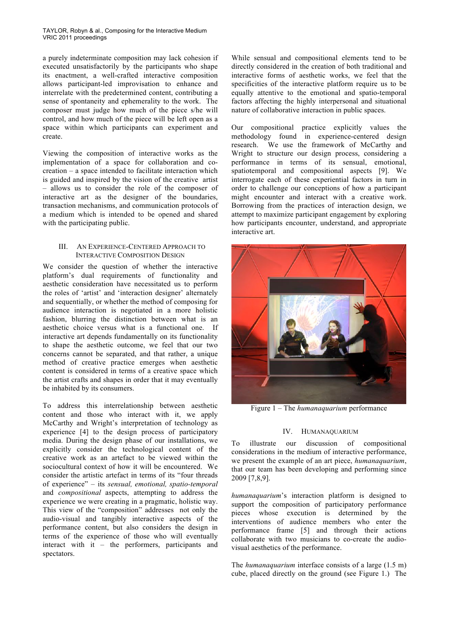a purely indeterminate composition may lack cohesion if executed unsatisfactorily by the participants who shape its enactment, a well-crafted interactive composition allows participant-led improvisation to enhance and interrelate with the predetermined content, contributing a sense of spontaneity and ephemerality to the work. The composer must judge how much of the piece s/he will control, and how much of the piece will be left open as a space within which participants can experiment and create.

Viewing the composition of interactive works as the implementation of a space for collaboration and cocreation – a space intended to facilitate interaction which is guided and inspired by the vision of the creative artist – allows us to consider the role of the composer of interactive art as the designer of the boundaries, transaction mechanisms, and communication protocols of a medium which is intended to be opened and shared with the participating public.

### III. AN EXPERIENCE-CENTERED APPROACH TO INTERACTIVE COMPOSITION DESIGN

We consider the question of whether the interactive platform's dual requirements of functionality and aesthetic consideration have necessitated us to perform the roles of 'artist' and 'interaction designer' alternately and sequentially, or whether the method of composing for audience interaction is negotiated in a more holistic fashion, blurring the distinction between what is an aesthetic choice versus what is a functional one. If interactive art depends fundamentally on its functionality to shape the aesthetic outcome, we feel that our two concerns cannot be separated, and that rather, a unique method of creative practice emerges when aesthetic content is considered in terms of a creative space which the artist crafts and shapes in order that it may eventually be inhabited by its consumers.

To address this interrelationship between aesthetic content and those who interact with it, we apply McCarthy and Wright's interpretation of technology as experience [4] to the design process of participatory media. During the design phase of our installations, we explicitly consider the technological content of the creative work as an artefact to be viewed within the sociocultural context of how it will be encountered. We consider the artistic artefact in terms of its "four threads of experience" – its *sensual, emotional, spatio-temporal* and *compositional* aspects, attempting to address the experience we were creating in a pragmatic, holistic way. This view of the "composition" addresses not only the audio-visual and tangibly interactive aspects of the performance content, but also considers the design in terms of the experience of those who will eventually interact with it – the performers, participants and spectators.

While sensual and compositional elements tend to be directly considered in the creation of both traditional and interactive forms of aesthetic works, we feel that the specificities of the interactive platform require us to be equally attentive to the emotional and spatio-temporal factors affecting the highly interpersonal and situational nature of collaborative interaction in public spaces.

Our compositional practice explicitly values the methodology found in experience-centered design research. We use the framework of McCarthy and Wright to structure our design process, considering a performance in terms of its sensual, emotional, spatiotemporal and compositional aspects [9]. We interrogate each of these experiential factors in turn in order to challenge our conceptions of how a participant might encounter and interact with a creative work. Borrowing from the practices of interaction design, we attempt to maximize participant engagement by exploring how participants encounter, understand, and appropriate interactive art.



Figure 1 – The *humanaquarium* performance

#### IV. HUMANAQUARIUM

To illustrate our discussion of compositional considerations in the medium of interactive performance, we present the example of an art piece, *humanaquarium*, that our team has been developing and performing since 2009 [7,8,9].

*humanaquarium*'s interaction platform is designed to support the composition of participatory performance pieces whose execution is determined by the interventions of audience members who enter the performance frame [5] and through their actions collaborate with two musicians to co-create the audiovisual aesthetics of the performance.

The *humanaquarium* interface consists of a large (1.5 m) cube, placed directly on the ground (see Figure 1.) The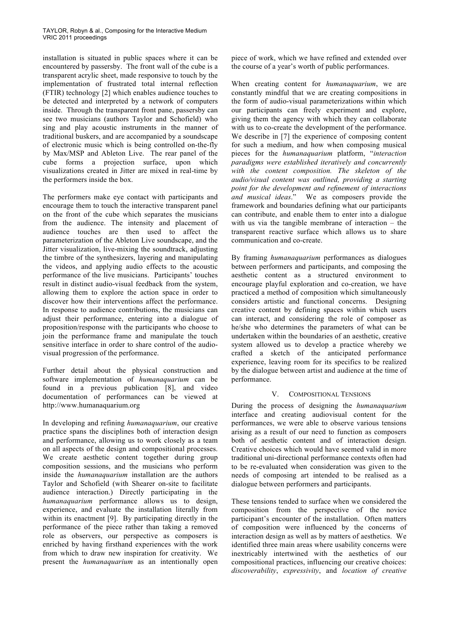installation is situated in public spaces where it can be encountered by passersby. The front wall of the cube is a transparent acrylic sheet, made responsive to touch by the implementation of frustrated total internal reflection (FTIR) technology [2] which enables audience touches to be detected and interpreted by a network of computers inside. Through the transparent front pane, passersby can see two musicians (authors Taylor and Schofield) who sing and play acoustic instruments in the manner of traditional buskers, and are accompanied by a soundscape of electronic music which is being controlled on-the-fly by Max/MSP and Ableton Live. The rear panel of the cube forms a projection surface, upon which visualizations created in Jitter are mixed in real-time by the performers inside the box.

The performers make eye contact with participants and encourage them to touch the interactive transparent panel on the front of the cube which separates the musicians from the audience. The intensity and placement of audience touches are then used to affect the parameterization of the Ableton Live soundscape, and the Jitter visualization, live-mixing the soundtrack, adjusting the timbre of the synthesizers, layering and manipulating the videos, and applying audio effects to the acoustic performance of the live musicians. Participants' touches result in distinct audio-visual feedback from the system, allowing them to explore the action space in order to discover how their interventions affect the performance. In response to audience contributions, the musicians can adjust their performance, entering into a dialogue of proposition/response with the participants who choose to join the performance frame and manipulate the touch sensitive interface in order to share control of the audiovisual progression of the performance.

Further detail about the physical construction and software implementation of *humanaquarium* can be found in a previous publication [8], and video documentation of performances can be viewed at http://www.humanaquarium.org

In developing and refining *humanaquarium*, our creative practice spans the disciplines both of interaction design and performance, allowing us to work closely as a team on all aspects of the design and compositional processes. We create aesthetic content together during group composition sessions, and the musicians who perform inside the *humanaquarium* installation are the authors Taylor and Schofield (with Shearer on-site to facilitate audience interaction.) Directly participating in the *humanaquarium* performance allows us to design, experience, and evaluate the installation literally from within its enactment [9]. By participating directly in the performance of the piece rather than taking a removed role as observers, our perspective as composers is enriched by having firsthand experiences with the work from which to draw new inspiration for creativity. We present the *humanaquarium* as an intentionally open

piece of work, which we have refined and extended over the course of a year's worth of public performances.

When creating content for *humanaquarium*, we are constantly mindful that we are creating compositions in the form of audio-visual parameterizations within which our participants can freely experiment and explore, giving them the agency with which they can collaborate with us to co-create the development of the performance. We describe in [7] the experience of composing content for such a medium, and how when composing musical pieces for the *humanaquarium* platform, "*interaction paradigms were established iteratively and concurrently with the content composition. The skeleton of the audio/visual content was outlined, providing a starting point for the development and refinement of interactions and musical ideas*." We as composers provide the framework and boundaries defining what our participants can contribute, and enable them to enter into a dialogue with us via the tangible membrane of interaction – the transparent reactive surface which allows us to share communication and co-create.

By framing *humanaquarium* performances as dialogues between performers and participants, and composing the aesthetic content as a structured environment to encourage playful exploration and co-creation, we have practiced a method of composition which simultaneously considers artistic and functional concerns. Designing creative content by defining spaces within which users can interact, and considering the role of composer as he/she who determines the parameters of what can be undertaken within the boundaries of an aesthetic, creative system allowed us to develop a practice whereby we crafted a sketch of the anticipated performance experience, leaving room for its specifics to be realized by the dialogue between artist and audience at the time of performance.

## V. COMPOSITIONAL TENSIONS

During the process of designing the *humanaquarium* interface and creating audiovisual content for the performances, we were able to observe various tensions arising as a result of our need to function as composers both of aesthetic content and of interaction design. Creative choices which would have seemed valid in more traditional uni-directional performance contexts often had to be re-evaluated when consideration was given to the needs of composing art intended to be realised as a dialogue between performers and participants.

These tensions tended to surface when we considered the composition from the perspective of the novice participant's encounter of the installation. Often matters of composition were influenced by the concerns of interaction design as well as by matters of aesthetics. We identified three main areas where usability concerns were inextricably intertwined with the aesthetics of our compositional practices, influencing our creative choices: *discoverability*, *expressivity*, and *location of creative*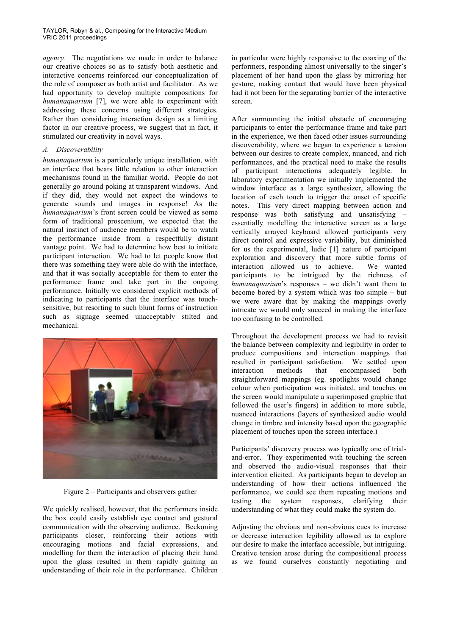*agency*. The negotiations we made in order to balance our creative choices so as to satisfy both aesthetic and interactive concerns reinforced our conceptualization of the role of composer as both artist and facilitator. As we had opportunity to develop multiple compositions for *humanaquarium* [7], we were able to experiment with addressing these concerns using different strategies. Rather than considering interaction design as a limiting factor in our creative process, we suggest that in fact, it stimulated our creativity in novel ways.

## *A. Discoverability*

*humanaquarium* is a particularly unique installation, with an interface that bears little relation to other interaction mechanisms found in the familiar world. People do not generally go around poking at transparent windows. And if they did, they would not expect the windows to generate sounds and images in response! As the *humanaquarium*'s front screen could be viewed as some form of traditional proscenium, we expected that the natural instinct of audience members would be to watch the performance inside from a respectfully distant vantage point. We had to determine how best to initiate participant interaction. We had to let people know that there was something they were able do with the interface, and that it was socially acceptable for them to enter the performance frame and take part in the ongoing performance. Initially we considered explicit methods of indicating to participants that the interface was touchsensitive, but resorting to such blunt forms of instruction such as signage seemed unacceptably stilted and mechanical.



Figure 2 – Participants and observers gather

We quickly realised, however, that the performers inside the box could easily establish eye contact and gestural communication with the observing audience. Beckoning participants closer, reinforcing their actions with encouraging motions and facial expressions, and modelling for them the interaction of placing their hand upon the glass resulted in them rapidly gaining an understanding of their role in the performance. Children

in particular were highly responsive to the coaxing of the performers, responding almost universally to the singer's placement of her hand upon the glass by mirroring her gesture, making contact that would have been physical had it not been for the separating barrier of the interactive screen.

After surmounting the initial obstacle of encouraging participants to enter the performance frame and take part in the experience, we then faced other issues surrounding discoverability, where we began to experience a tension between our desires to create complex, nuanced, and rich performances, and the practical need to make the results of participant interactions adequately legible. In laboratory experimentation we initially implemented the window interface as a large synthesizer, allowing the location of each touch to trigger the onset of specific notes. This very direct mapping between action and response was both satisfying and unsatisfying – essentially modelling the interactive screen as a large vertically arrayed keyboard allowed participants very direct control and expressive variability, but diminished for us the experimental, ludic [1] nature of participant exploration and discovery that more subtle forms of interaction allowed us to achieve. We wanted participants to be intrigued by the richness of *humanaquarium*'s responses – we didn't want them to become bored by a system which was too simple – but we were aware that by making the mappings overly intricate we would only succeed in making the interface too confusing to be controlled.

Throughout the development process we had to revisit the balance between complexity and legibility in order to produce compositions and interaction mappings that resulted in participant satisfaction. We settled upon interaction methods that encompassed both straightforward mappings (eg. spotlights would change colour when participation was initiated, and touches on the screen would manipulate a superimposed graphic that followed the user's fingers) in addition to more subtle, nuanced interactions (layers of synthesized audio would change in timbre and intensity based upon the geographic placement of touches upon the screen interface.)

Participants' discovery process was typically one of trialand-error. They experimented with touching the screen and observed the audio-visual responses that their intervention elicited. As participants began to develop an understanding of how their actions influenced the performance, we could see them repeating motions and testing the system responses, clarifying their understanding of what they could make the system do.

Adjusting the obvious and non-obvious cues to increase or decrease interaction legibility allowed us to explore our desire to make the interface accessible, but intriguing. Creative tension arose during the compositional process as we found ourselves constantly negotiating and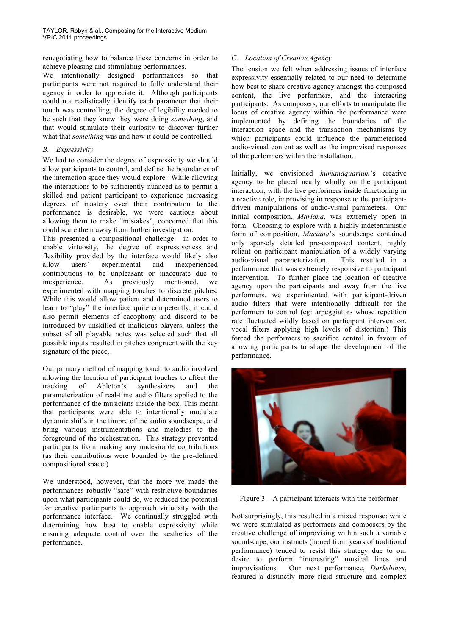renegotiating how to balance these concerns in order to achieve pleasing and stimulating performances.

We intentionally designed performances so that participants were not required to fully understand their agency in order to appreciate it. Although participants could not realistically identify each parameter that their touch was controlling, the degree of legibility needed to be such that they knew they were doing *something*, and that would stimulate their curiosity to discover further what that *something* was and how it could be controlled.

## *B. Expressivity*

We had to consider the degree of expressivity we should allow participants to control, and define the boundaries of the interaction space they would explore. While allowing the interactions to be sufficiently nuanced as to permit a skilled and patient participant to experience increasing degrees of mastery over their contribution to the performance is desirable, we were cautious about allowing them to make "mistakes", concerned that this could scare them away from further investigation.

This presented a compositional challenge: in order to enable virtuosity, the degree of expressiveness and flexibility provided by the interface would likely also allow users' experimental and inexperienced contributions to be unpleasant or inaccurate due to inexperience. As previously mentioned, we experimented with mapping touches to discrete pitches. While this would allow patient and determined users to learn to "play" the interface quite competently, it could also permit elements of cacophony and discord to be introduced by unskilled or malicious players, unless the subset of all playable notes was selected such that all possible inputs resulted in pitches congruent with the key signature of the piece.

Our primary method of mapping touch to audio involved allowing the location of participant touches to affect the tracking of Ableton's synthesizers and the parameterization of real-time audio filters applied to the performance of the musicians inside the box. This meant that participants were able to intentionally modulate dynamic shifts in the timbre of the audio soundscape, and bring various instrumentations and melodies to the foreground of the orchestration. This strategy prevented participants from making any undesirable contributions (as their contributions were bounded by the pre-defined compositional space.)

We understood, however, that the more we made the performances robustly "safe" with restrictive boundaries upon what participants could do, we reduced the potential for creative participants to approach virtuosity with the performance interface. We continually struggled with determining how best to enable expressivity while ensuring adequate control over the aesthetics of the performance.

## *C. Location of Creative Agency*

The tension we felt when addressing issues of interface expressivity essentially related to our need to determine how best to share creative agency amongst the composed content, the live performers, and the interacting participants. As composers, our efforts to manipulate the locus of creative agency within the performance were implemented by defining the boundaries of the interaction space and the transaction mechanisms by which participants could influence the parameterised audio-visual content as well as the improvised responses of the performers within the installation.

Initially, we envisioned *humanaquarium*'s creative agency to be placed nearly wholly on the participant interaction, with the live performers inside functioning in a reactive role, improvising in response to the participantdriven manipulations of audio-visual parameters. Our initial composition, *Mariana*, was extremely open in form. Choosing to explore with a highly indeterministic form of composition, *Mariana*'s soundscape contained only sparsely detailed pre-composed content, highly reliant on participant manipulation of a widely varying audio-visual parameterization. This resulted in a performance that was extremely responsive to participant intervention. To further place the location of creative agency upon the participants and away from the live performers, we experimented with participant-driven audio filters that were intentionally difficult for the performers to control (eg: arpeggiators whose repetition rate fluctuated wildly based on participant intervention, vocal filters applying high levels of distortion.) This forced the performers to sacrifice control in favour of allowing participants to shape the development of the performance.



Figure  $3 - A$  participant interacts with the performer

Not surprisingly, this resulted in a mixed response: while we were stimulated as performers and composers by the creative challenge of improvising within such a variable soundscape, our instincts (honed from years of traditional performance) tended to resist this strategy due to our desire to perform "interesting" musical lines and improvisations. Our next performance, *Darkshines*, featured a distinctly more rigid structure and complex